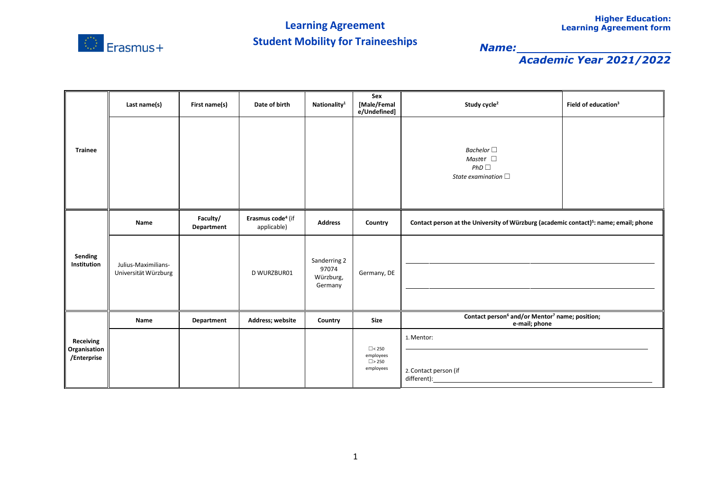

|                                                 | Last name(s)                                | First name(s)          | Date of birth                                | Nationality <sup>1</sup>                      | Sex<br>[Male/Femal<br>e/Undefined]                        | Study cycle <sup>2</sup>                                                                          | Field of education <sup>3</sup> |  |
|-------------------------------------------------|---------------------------------------------|------------------------|----------------------------------------------|-----------------------------------------------|-----------------------------------------------------------|---------------------------------------------------------------------------------------------------|---------------------------------|--|
| <b>Trainee</b>                                  |                                             |                        |                                              |                                               |                                                           | Bachelor $\square$<br>Master $\square$<br>PhD<br>State examination $\Box$                         |                                 |  |
| Sending<br>Institution                          | Name                                        | Faculty/<br>Department | Erasmus code <sup>4</sup> (if<br>applicable) | <b>Address</b>                                | Country                                                   | Contact person at the University of Würzburg (academic contact) <sup>5</sup> : name; email; phone |                                 |  |
|                                                 | Julius-Maximilians-<br>Universität Würzburg |                        | D WURZBUR01                                  | Sanderring 2<br>97074<br>Würzburg,<br>Germany | Germany, DE                                               |                                                                                                   |                                 |  |
|                                                 | Name                                        | Department             | Address; website                             | Country                                       | Size                                                      | Contact person <sup>6</sup> and/or Mentor <sup>7</sup> name; position;<br>e-mail; phone           |                                 |  |
| <b>Receiving</b><br>Organisation<br>/Enterprise |                                             |                        |                                              |                                               | $\Box$ < 250<br>employees<br>$\square$ > 250<br>employees | 1. Mentor:<br>2. Contact person (if<br>different):                                                |                                 |  |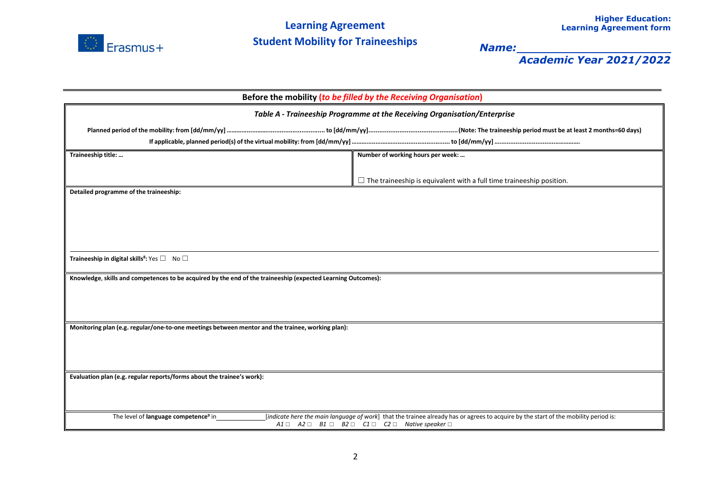

| Before the mobility (to be filled by the Receiving Organisation)                                             |                                                                                                                                                                                                                                               |  |  |  |  |
|--------------------------------------------------------------------------------------------------------------|-----------------------------------------------------------------------------------------------------------------------------------------------------------------------------------------------------------------------------------------------|--|--|--|--|
| Table A - Traineeship Programme at the Receiving Organisation/Enterprise                                     |                                                                                                                                                                                                                                               |  |  |  |  |
|                                                                                                              |                                                                                                                                                                                                                                               |  |  |  |  |
|                                                                                                              |                                                                                                                                                                                                                                               |  |  |  |  |
| Traineeship title:                                                                                           | Number of working hours per week:                                                                                                                                                                                                             |  |  |  |  |
|                                                                                                              | $\Box$ The traineeship is equivalent with a full time traineeship position.                                                                                                                                                                   |  |  |  |  |
| Detailed programme of the traineeship:                                                                       |                                                                                                                                                                                                                                               |  |  |  |  |
|                                                                                                              |                                                                                                                                                                                                                                               |  |  |  |  |
|                                                                                                              |                                                                                                                                                                                                                                               |  |  |  |  |
|                                                                                                              |                                                                                                                                                                                                                                               |  |  |  |  |
|                                                                                                              |                                                                                                                                                                                                                                               |  |  |  |  |
| Traineeship in digital skills <sup>8</sup> : Yes □ No □                                                      |                                                                                                                                                                                                                                               |  |  |  |  |
| Knowledge, skills and competences to be acquired by the end of the traineeship (expected Learning Outcomes): |                                                                                                                                                                                                                                               |  |  |  |  |
|                                                                                                              |                                                                                                                                                                                                                                               |  |  |  |  |
|                                                                                                              |                                                                                                                                                                                                                                               |  |  |  |  |
|                                                                                                              |                                                                                                                                                                                                                                               |  |  |  |  |
| Monitoring plan (e.g. regular/one-to-one meetings between mentor and the trainee, working plan):             |                                                                                                                                                                                                                                               |  |  |  |  |
|                                                                                                              |                                                                                                                                                                                                                                               |  |  |  |  |
|                                                                                                              |                                                                                                                                                                                                                                               |  |  |  |  |
| Evaluation plan (e.g. regular reports/forms about the trainee's work):                                       |                                                                                                                                                                                                                                               |  |  |  |  |
|                                                                                                              |                                                                                                                                                                                                                                               |  |  |  |  |
|                                                                                                              |                                                                                                                                                                                                                                               |  |  |  |  |
| The level of language competence <sup>9</sup> in                                                             | [indicate here the main language of work] that the trainee already has or agrees to acquire by the start of the mobility period is:<br>$A1 \square$ $A2 \square$ $B1 \square$ $B2 \square$ $C1 \square$ $C2 \square$ Native speaker $\square$ |  |  |  |  |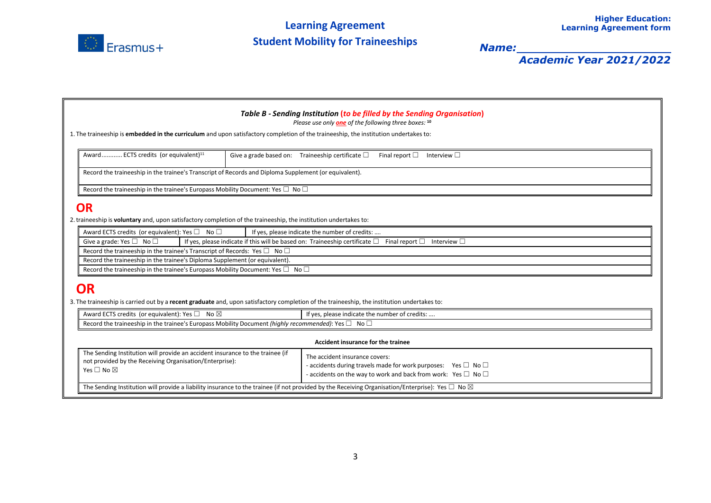

| Table B - Sending Institution (to be filled by the Sending Organisation)<br>Please use only <b>one</b> of the following three boxes: 10                                  |                                                                                                                                                                                            |  |  |  |  |  |  |  |
|--------------------------------------------------------------------------------------------------------------------------------------------------------------------------|--------------------------------------------------------------------------------------------------------------------------------------------------------------------------------------------|--|--|--|--|--|--|--|
| 1. The traineeship is embedded in the curriculum and upon satisfactory completion of the traineeship, the institution undertakes to:                                     |                                                                                                                                                                                            |  |  |  |  |  |  |  |
| Award ECTS credits (or equivalent) <sup>11</sup>                                                                                                                         | Give a grade based on: Traineeship certificate $\square$<br>Final report $\square$<br>Interview $\Box$                                                                                     |  |  |  |  |  |  |  |
| Record the traineeship in the trainee's Transcript of Records and Diploma Supplement (or equivalent).                                                                    |                                                                                                                                                                                            |  |  |  |  |  |  |  |
| Record the traineeship in the trainee's Europass Mobility Document: Yes $\Box$ No $\Box$                                                                                 |                                                                                                                                                                                            |  |  |  |  |  |  |  |
| <b>OR</b>                                                                                                                                                                |                                                                                                                                                                                            |  |  |  |  |  |  |  |
| 2. traineeship is <b>voluntary</b> and, upon satisfactory completion of the traineeship, the institution undertakes to:                                                  |                                                                                                                                                                                            |  |  |  |  |  |  |  |
| Award ECTS credits (or equivalent): Yes $\square$ No $\square$                                                                                                           | If yes, please indicate the number of credits:                                                                                                                                             |  |  |  |  |  |  |  |
| Give a grade: Yes $\square$ No $\square$                                                                                                                                 | If yes, please indicate if this will be based on: Traineeship certificate $\square$ Final report $\square$ Interview $\square$                                                             |  |  |  |  |  |  |  |
|                                                                                                                                                                          | Record the traineeship in the trainee's Transcript of Records: Yes $\square$ No $\square$                                                                                                  |  |  |  |  |  |  |  |
| Record the traineeship in the trainee's Diploma Supplement (or equivalent).                                                                                              |                                                                                                                                                                                            |  |  |  |  |  |  |  |
| Record the traineeship in the trainee's Europass Mobility Document: Yes $\square$ No $\square$                                                                           |                                                                                                                                                                                            |  |  |  |  |  |  |  |
| <b>OR</b><br>3. The traineeship is carried out by a recent graduate and, upon satisfactory completion of the traineeship, the institution undertakes to:                 |                                                                                                                                                                                            |  |  |  |  |  |  |  |
|                                                                                                                                                                          |                                                                                                                                                                                            |  |  |  |  |  |  |  |
| Award ECTS credits (or equivalent): Yes □ No ⊠                                                                                                                           | If yes, please indicate the number of credits:                                                                                                                                             |  |  |  |  |  |  |  |
| Record the traineeship in the trainee's Europass Mobility Document (highly recommended): Yes $\square$ No $\square$                                                      |                                                                                                                                                                                            |  |  |  |  |  |  |  |
| Accident insurance for the trainee                                                                                                                                       |                                                                                                                                                                                            |  |  |  |  |  |  |  |
| The Sending Institution will provide an accident insurance to the trainee (if<br>not provided by the Receiving Organisation/Enterprise):<br>Yes $\square$ No $\boxtimes$ | The accident insurance covers:<br>- accidents during travels made for work purposes: Yes $\Box$ No $\Box$<br>- accidents on the way to work and back from work: Yes $\square$ No $\square$ |  |  |  |  |  |  |  |
| The Sending Institution will provide a liability insurance to the trainee (if not provided by the Receiving Organisation/Enterprise): Yes $\Box$ No $\boxtimes$          |                                                                                                                                                                                            |  |  |  |  |  |  |  |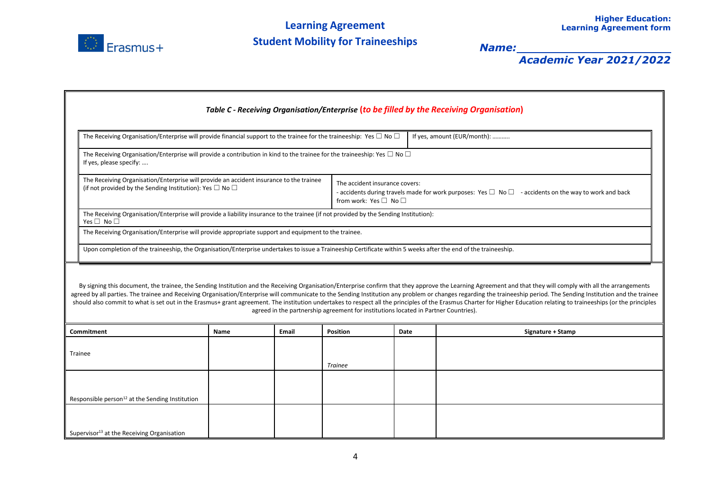

| Table C - Receiving Organisation/Enterprise (to be filled by the Receiving Organisation)                                                                                                                                                                                                                                                                                                                                                                                                                                                                                                                                                                                                                                                                 |                                                                                                                                                                |      |                                                                                                                                                                            |                 |      |                   |  |  |  |
|----------------------------------------------------------------------------------------------------------------------------------------------------------------------------------------------------------------------------------------------------------------------------------------------------------------------------------------------------------------------------------------------------------------------------------------------------------------------------------------------------------------------------------------------------------------------------------------------------------------------------------------------------------------------------------------------------------------------------------------------------------|----------------------------------------------------------------------------------------------------------------------------------------------------------------|------|----------------------------------------------------------------------------------------------------------------------------------------------------------------------------|-----------------|------|-------------------|--|--|--|
|                                                                                                                                                                                                                                                                                                                                                                                                                                                                                                                                                                                                                                                                                                                                                          | If yes, amount (EUR/month):<br>The Receiving Organisation/Enterprise will provide financial support to the trainee for the traineeship: Yes $\Box$ No $\Box$   |      |                                                                                                                                                                            |                 |      |                   |  |  |  |
|                                                                                                                                                                                                                                                                                                                                                                                                                                                                                                                                                                                                                                                                                                                                                          | The Receiving Organisation/Enterprise will provide a contribution in kind to the trainee for the traineeship: Yes $\Box$ No $\Box$<br>If yes, please specify:  |      |                                                                                                                                                                            |                 |      |                   |  |  |  |
| The Receiving Organisation/Enterprise will provide an accident insurance to the trainee<br>(if not provided by the Sending Institution): Yes $\Box$ No $\Box$                                                                                                                                                                                                                                                                                                                                                                                                                                                                                                                                                                                            |                                                                                                                                                                |      | The accident insurance covers:<br>- accidents during travels made for work purposes: Yes $\Box$ No $\Box$ - accidents on the way to work and back<br>from work: Yes □ No □ |                 |      |                   |  |  |  |
|                                                                                                                                                                                                                                                                                                                                                                                                                                                                                                                                                                                                                                                                                                                                                          | The Receiving Organisation/Enterprise will provide a liability insurance to the trainee (if not provided by the Sending Institution):<br>Yes $\Box$ No $\Box$  |      |                                                                                                                                                                            |                 |      |                   |  |  |  |
|                                                                                                                                                                                                                                                                                                                                                                                                                                                                                                                                                                                                                                                                                                                                                          | The Receiving Organisation/Enterprise will provide appropriate support and equipment to the trainee.                                                           |      |                                                                                                                                                                            |                 |      |                   |  |  |  |
|                                                                                                                                                                                                                                                                                                                                                                                                                                                                                                                                                                                                                                                                                                                                                          | Upon completion of the traineeship, the Organisation/Enterprise undertakes to issue a Traineeship Certificate within 5 weeks after the end of the traineeship. |      |                                                                                                                                                                            |                 |      |                   |  |  |  |
| By signing this document, the trainee, the Sending Institution and the Receiving Organisation/Enterprise confirm that they approve the Learning Agreement and that they will comply with all the arrangements<br>agreed by all parties. The trainee and Receiving Organisation/Enterprise will communicate to the Sending Institution any problem or changes regarding the traineeship period. The Sending Institution and the trainee<br>should also commit to what is set out in the Erasmus+ grant agreement. The institution undertakes to respect all the principles of the Erasmus Charter for Higher Education relating to traineeships (or the principles<br>agreed in the partnership agreement for institutions located in Partner Countries). |                                                                                                                                                                |      |                                                                                                                                                                            |                 |      |                   |  |  |  |
| Commitment                                                                                                                                                                                                                                                                                                                                                                                                                                                                                                                                                                                                                                                                                                                                               |                                                                                                                                                                | Name | <b>Email</b>                                                                                                                                                               | <b>Position</b> | Date | Signature + Stamp |  |  |  |
| Trainee                                                                                                                                                                                                                                                                                                                                                                                                                                                                                                                                                                                                                                                                                                                                                  |                                                                                                                                                                |      |                                                                                                                                                                            | <b>Trainee</b>  |      |                   |  |  |  |
|                                                                                                                                                                                                                                                                                                                                                                                                                                                                                                                                                                                                                                                                                                                                                          |                                                                                                                                                                |      |                                                                                                                                                                            |                 |      |                   |  |  |  |
|                                                                                                                                                                                                                                                                                                                                                                                                                                                                                                                                                                                                                                                                                                                                                          | Responsible person <sup>12</sup> at the Sending Institution                                                                                                    |      |                                                                                                                                                                            |                 |      |                   |  |  |  |
|                                                                                                                                                                                                                                                                                                                                                                                                                                                                                                                                                                                                                                                                                                                                                          |                                                                                                                                                                |      |                                                                                                                                                                            |                 |      |                   |  |  |  |
|                                                                                                                                                                                                                                                                                                                                                                                                                                                                                                                                                                                                                                                                                                                                                          | Supervisor <sup>13</sup> at the Receiving Organisation                                                                                                         |      |                                                                                                                                                                            |                 |      |                   |  |  |  |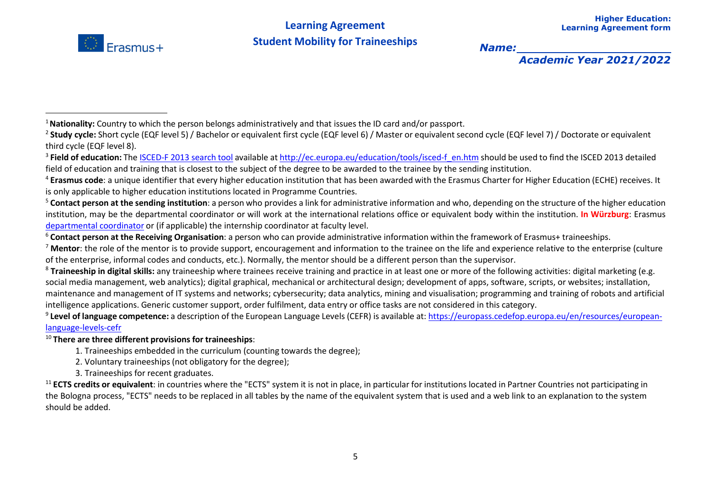

<sup>10</sup> **There are three different provisions for traineeships**:

- 1. Traineeships embedded in the curriculum (counting towards the degree);
- 2. Voluntary traineeships (not obligatory for the degree);
- 3. Traineeships for recent graduates.

<sup>11</sup> **ECTS credits or equivalent**: in countries where the "ECTS" system it is not in place, in particular for institutions located in Partner Countries not participating in the Bologna process, "ECTS" needs to be replaced in all tables by the name of the equivalent system that is used and a web link to an explanation to the system should be added.

<sup>1</sup>**Nationality:** Country to which the person belongs administratively and that issues the ID card and/or passport.

<sup>&</sup>lt;sup>2</sup> Study cycle: Short cycle (EQF level 5) / Bachelor or equivalent first cycle (EQF level 6) / Master or equivalent second cycle (EQF level 7) / Doctorate or equivalent third cycle (EQF level 8).

<sup>&</sup>lt;sup>3</sup> Field of education: The [ISCED-F 2013](http://ec.europa.eu/education/tools/isced-f_en.htm) search tool available at [http://ec.europa.eu/education/tools/isced-f\\_en.htm](http://ec.europa.eu/education/tools/isced-f_en.htm) should be used to find the ISCED 2013 detailed field of education and training that is closest to the subject of the degree to be awarded to the trainee by the sending institution.

<sup>4</sup> **Erasmus code**: a unique identifier that every higher education institution that has been awarded with the Erasmus Charter for Higher Education (ECHE) receives. It is only applicable to higher education institutions located in Programme Countries.

<sup>5</sup> **Contact person at the sending institution**: a person who provides a link for administrative information and who, depending on the structure of the higher education institution, may be the departmental coordinator or will work at the international relations office or equivalent body within the institution. **In Würzburg**: Erasmus [departmental](https://www.uni-wuerzburg.de/international/studieren-im-ausland/erasmus-studium/beratungsstellen-der-fachbereiche/) coordinator or (if applicable) the internship coordinator at faculty level.

<sup>6</sup> **Contact person at the Receiving Organisation**: a person who can provide administrative information within the framework of Erasmus+ traineeships.

<sup>7</sup> **Mentor**: the role of the mentor is to provide support, encouragement and information to the trainee on the life and experience relative to the enterprise (culture of the enterprise, informal codes and conducts, etc.). Normally, the mentor should be a different person than the supervisor.

<sup>&</sup>lt;sup>8</sup> Traineeship in digital skills: any traineeship where trainees receive training and practice in at least one or more of the following activities: digital marketing (e.g. social media management, web analytics); digital graphical, mechanical or architectural design; development of apps, software, scripts, or websites; installation, maintenance and management of IT systems and networks; cybersecurity; data analytics, mining and visualisation; programming and training of robots and artificial intelligence applications. Generic customer support, order fulfilment, data entry or office tasks are not considered in this category.

<sup>9</sup> **Level of language competence:** a description of the European Language Levels (CEFR) is available at: [https://europass.cedefop.europa.eu/en/resources/european](https://europass.cedefop.europa.eu/en/resources/european-language-levels-cefr)[language-levels-cefr](https://europass.cedefop.europa.eu/en/resources/european-language-levels-cefr)